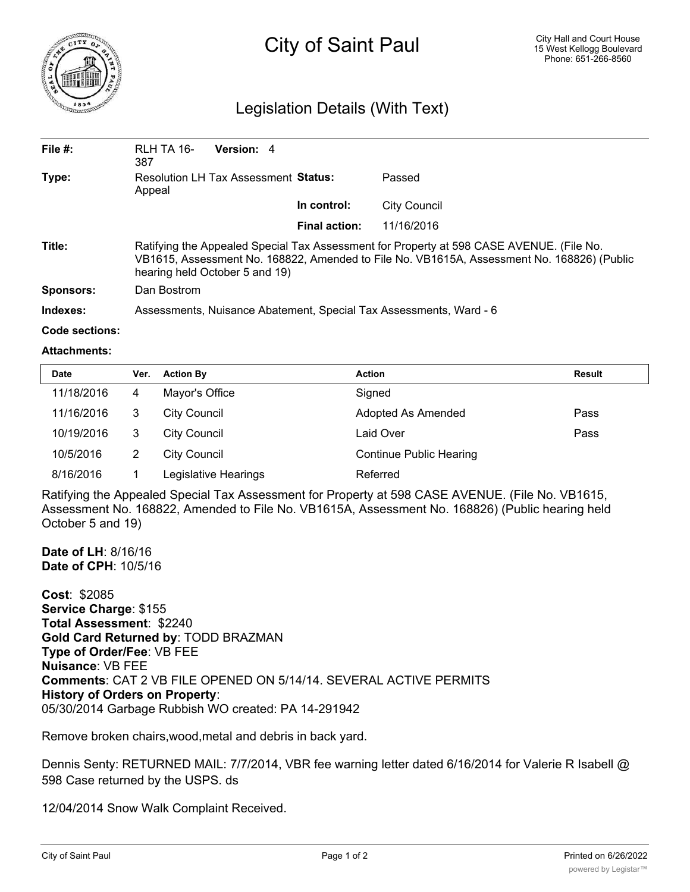

# City of Saint Paul

# Legislation Details (With Text)

| File $#$ :       | RLH TA 16-<br>387                                                                                                                                                                                                        | Version: 4 |                      |                     |  |  |
|------------------|--------------------------------------------------------------------------------------------------------------------------------------------------------------------------------------------------------------------------|------------|----------------------|---------------------|--|--|
| Type:            | Resolution LH Tax Assessment Status:<br>Appeal                                                                                                                                                                           |            |                      | Passed              |  |  |
|                  |                                                                                                                                                                                                                          |            | In control:          | <b>City Council</b> |  |  |
|                  |                                                                                                                                                                                                                          |            | <b>Final action:</b> | 11/16/2016          |  |  |
| Title:           | Ratifying the Appealed Special Tax Assessment for Property at 598 CASE AVENUE. (File No.<br>VB1615, Assessment No. 168822, Amended to File No. VB1615A, Assessment No. 168826) (Public<br>hearing held October 5 and 19) |            |                      |                     |  |  |
| <b>Sponsors:</b> | Dan Bostrom                                                                                                                                                                                                              |            |                      |                     |  |  |
| Indexes:         | Assessments, Nuisance Abatement, Special Tax Assessments, Ward - 6                                                                                                                                                       |            |                      |                     |  |  |

#### **Code sections:**

#### **Attachments:**

| <b>Date</b> | Ver. | <b>Action By</b>     | <b>Action</b>                  | Result |
|-------------|------|----------------------|--------------------------------|--------|
| 11/18/2016  | 4    | Mayor's Office       | Signed                         |        |
| 11/16/2016  | 3    | <b>City Council</b>  | Adopted As Amended             | Pass   |
| 10/19/2016  | 3    | <b>City Council</b>  | Laid Over                      | Pass   |
| 10/5/2016   | 2    | <b>City Council</b>  | <b>Continue Public Hearing</b> |        |
| 8/16/2016   |      | Legislative Hearings | Referred                       |        |

Ratifying the Appealed Special Tax Assessment for Property at 598 CASE AVENUE. (File No. VB1615, Assessment No. 168822, Amended to File No. VB1615A, Assessment No. 168826) (Public hearing held October 5 and 19)

**Date of LH**: 8/16/16 **Date of CPH**: 10/5/16

**Cost**: \$2085 **Service Charge**: \$155 **Total Assessment**: \$2240 **Gold Card Returned by**: TODD BRAZMAN **Type of Order/Fee**: VB FEE **Nuisance**: VB FEE **Comments**: CAT 2 VB FILE OPENED ON 5/14/14. SEVERAL ACTIVE PERMITS **History of Orders on Property**: 05/30/2014 Garbage Rubbish WO created: PA 14-291942

Remove broken chairs,wood,metal and debris in back yard.

Dennis Senty: RETURNED MAIL: 7/7/2014, VBR fee warning letter dated 6/16/2014 for Valerie R Isabell @ 598 Case returned by the USPS. ds

12/04/2014 Snow Walk Complaint Received.